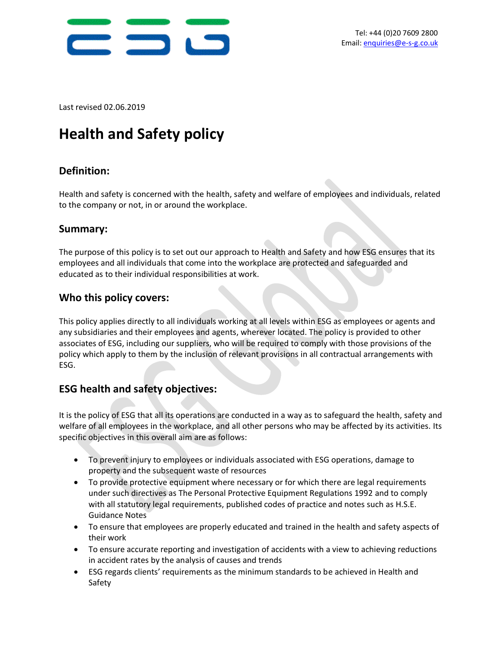

Last revised 02.06.2019

# **Health and Safety policy**

# **Definition:**

Health and safety is concerned with the health, safety and welfare of employees and individuals, related to the company or not, in or around the workplace.

#### **Summary:**

The purpose of this policy is to set out our approach to Health and Safety and how ESG ensures that its employees and all individuals that come into the workplace are protected and safeguarded and educated as to their individual responsibilities at work.

#### **Who this policy covers:**

This policy applies directly to all individuals working at all levels within ESG as employees or agents and any subsidiaries and their employees and agents, wherever located. The policy is provided to other associates of ESG, including our suppliers, who will be required to comply with those provisions of the policy which apply to them by the inclusion of relevant provisions in all contractual arrangements with ESG.

### **ESG health and safety objectives:**

It is the policy of ESG that all its operations are conducted in a way as to safeguard the health, safety and welfare of all employees in the workplace, and all other persons who may be affected by its activities. Its specific objectives in this overall aim are as follows:

- To prevent injury to employees or individuals associated with ESG operations, damage to property and the subsequent waste of resources
- To provide protective equipment where necessary or for which there are legal requirements under such directives as The Personal Protective Equipment Regulations 1992 and to comply with all statutory legal requirements, published codes of practice and notes such as H.S.E. Guidance Notes
- To ensure that employees are properly educated and trained in the health and safety aspects of their work
- To ensure accurate reporting and investigation of accidents with a view to achieving reductions in accident rates by the analysis of causes and trends
- ESG regards clients' requirements as the minimum standards to be achieved in Health and Safety